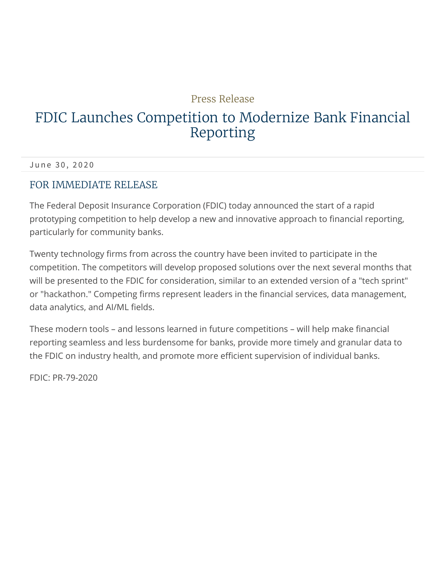## Press Release

## FDIC Launches Competition to Modernize Bank Financial Reporting

June 30, 2020

### FOR IMMEDIATE RELEASE

The Federal Deposit Insurance Corporation (FDIC) today announced the start of a rapid prototyping competition to help develop a new and innovative approach to financial reporting, particularly for community banks.

Twenty technology firms from across the country have been invited to participate in the competition. The competitors will develop proposed solutions over the next several months that will be presented to the FDIC for consideration, similar to an extended version of a "tech sprint" or "hackathon." Competing firms represent leaders in the financial services, data management, data analytics, and AI/ML fields.

These modern tools – and lessons learned in future competitions – will help make financial reporting seamless and less burdensome for banks, provide more timely and granular data to the FDIC on industry health, and promote more efficient supervision of individual banks.

FDIC: PR-79-2020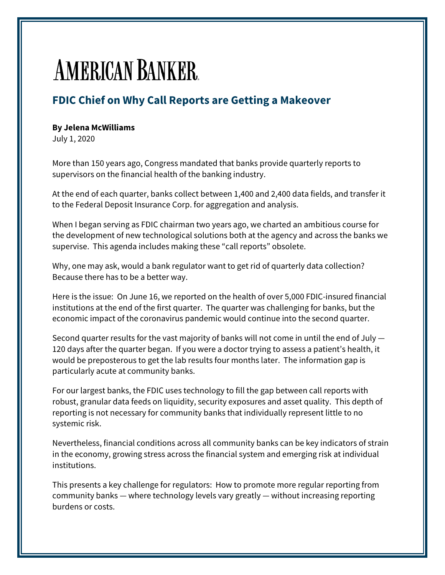# **AMERICAN BANKER**

## **FDIC Chief on Why Call Reports are Getting a Makeover**

#### **By Jelena McWilliams**

July 1, 2020

More than 150 years ago, Congress mandated that banks provide quarterly reports to supervisors on the financial health of the banking industry.

At the end of each quarter, banks collect between 1,400 and 2,400 data fields, and transfer it to the Federal Deposit Insurance Corp. for aggregation and analysis.

When I began serving as FDIC chairman two years ago, we charted an ambitious course for the development of new technological solutions both at the agency and across the banks we supervise. This agenda includes making these "call reports" obsolete.

Why, one may ask, would a bank regulator want to get rid of quarterly data collection? Because there has to be a better way.

Here is the issue: On June 16, we reported on the health of over 5,000 FDIC-insured financial institutions at the end of the first quarter. The quarter was challenging for banks, but the economic impact of the coronavirus pandemic would continue into the second quarter.

Second quarter results for the vast majority of banks will not come in until the end of July — 120 days after the quarter began. If you were a doctor trying to assess a patient's health, it would be preposterous to get the lab results four months later. The information gap is particularly acute at community banks.

For our largest banks, the FDIC uses technology to fill the gap between call reports with robust, granular data feeds on liquidity, security exposures and asset quality. This depth of reporting is not necessary for community banks that individually represent little to no systemic risk.

Nevertheless, financial conditions across all community banks can be key indicators of strain in the economy, growing stress across the financial system and emerging risk at individual institutions.

This presents a key challenge for regulators: How to promote more regular reporting from community banks — where technology levels vary greatly — without increasing reporting burdens or costs.